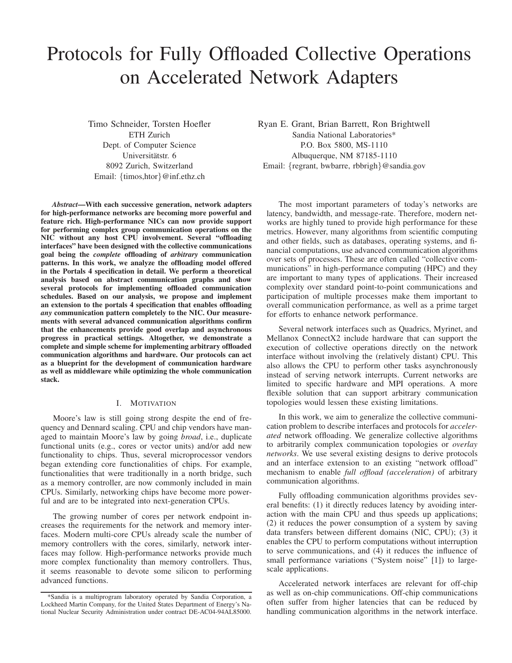# Protocols for Fully Offloaded Collective Operations on Accelerated Network Adapters

Timo Schneider, Torsten Hoefler ETH Zurich Dept. of Computer Science Universitätstr. 6 8092 Zurich, Switzerland Email: {timos,htor}@inf.ethz.ch

*Abstract*—With each successive generation, network adapters for high-performance networks are becoming more powerful and feature rich. High-performance NICs can now provide support for performing complex group communication operations on the NIC without any host CPU involvement. Several "offloading interfaces" have been designed with the collective communications goal being the *complete* offloading of *arbitrary* communication patterns. In this work, we analyze the offloading model offered in the Portals 4 specification in detail. We perform a theoretical analysis based on abstract communication graphs and show several protocols for implementing offloaded communication schedules. Based on our analysis, we propose and implement an extension to the portals 4 specification that enables offloading *any* communication pattern completely to the NIC. Our measurements with several advanced communication algorithms confirm that the enhancements provide good overlap and asynchronous progress in practical settings. Altogether, we demonstrate a complete and simple scheme for implementing arbitrary offloaded communication algorithms and hardware. Our protocols can act as a blueprint for the development of communication hardware as well as middleware while optimizing the whole communication stack.

#### I. MOTIVATION

Moore's law is still going strong despite the end of frequency and Dennard scaling. CPU and chip vendors have managed to maintain Moore's law by going *broad*, i.e., duplicate functional units (e.g., cores or vector units) and/or add new functionality to chips. Thus, several microprocessor vendors began extending core functionalities of chips. For example, functionalities that were traditionally in a north bridge, such as a memory controller, are now commonly included in main CPUs. Similarly, networking chips have become more powerful and are to be integrated into next-generation CPUs.

The growing number of cores per network endpoint increases the requirements for the network and memory interfaces. Modern multi-core CPUs already scale the number of memory controllers with the cores, similarly, network interfaces may follow. High-performance networks provide much more complex functionality than memory controllers. Thus, it seems reasonable to devote some silicon to performing advanced functions.

Ryan E. Grant, Brian Barrett, Ron Brightwell Sandia National Laboratories\* P.O. Box 5800, MS-1110 Albuquerque, NM 87185-1110 Email: {regrant, bwbarre, rbbrigh}@sandia.gov

The most important parameters of today's networks are latency, bandwidth, and message-rate. Therefore, modern networks are highly tuned to provide high performance for these metrics. However, many algorithms from scientific computing and other fields, such as databases, operating systems, and financial computations, use advanced communication algorithms over sets of processes. These are often called "collective communications" in high-performance computing (HPC) and they are important to many types of applications. Their increased complexity over standard point-to-point communications and participation of multiple processes make them important to overall communication performance, as well as a prime target for efforts to enhance network performance.

Several network interfaces such as Quadrics, Myrinet, and Mellanox ConnectX2 include hardware that can support the execution of collective operations directly on the network interface without involving the (relatively distant) CPU. This also allows the CPU to perform other tasks asynchronously instead of serving network interrupts. Current networks are limited to specific hardware and MPI operations. A more flexible solution that can support arbitrary communication topologies would lessen these existing limitations.

In this work, we aim to generalize the collective communication problem to describe interfaces and protocols for *accelerated* network offloading. We generalize collective algorithms to arbitrarily complex communication topologies or *overlay networks*. We use several existing designs to derive protocols and an interface extension to an existing "network offload" mechanism to enable *full offload (acceleration)* of arbitrary communication algorithms.

Fully offloading communication algorithms provides several benefits: (1) it directly reduces latency by avoiding interaction with the main CPU and thus speeds up applications; (2) it reduces the power consumption of a system by saving data transfers between different domains (NIC, CPU); (3) it enables the CPU to perform computations without interruption to serve communications, and (4) it reduces the influence of small performance variations ("System noise" [1]) to largescale applications.

Accelerated network interfaces are relevant for off-chip as well as on-chip communications. Off-chip communications often suffer from higher latencies that can be reduced by handling communication algorithms in the network interface.

<sup>\*</sup>Sandia is a multiprogram laboratory operated by Sandia Corporation, a Lockheed Martin Company, for the United States Department of Energy's National Nuclear Security Administration under contract DE-AC04-94AL85000.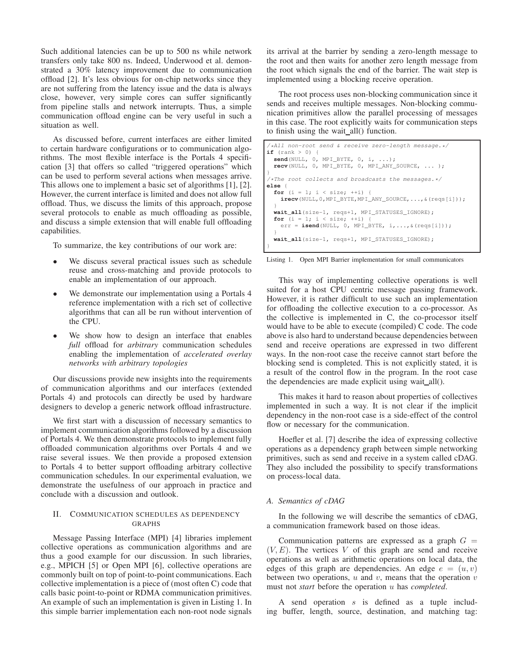Such additional latencies can be up to 500 ns while network transfers only take 800 ns. Indeed, Underwood et al. demonstrated a 30% latency improvement due to communication offload [2]. It's less obvious for on-chip networks since they are not suffering from the latency issue and the data is always close, however, very simple cores can suffer significantly from pipeline stalls and network interrupts. Thus, a simple communication offload engine can be very useful in such a situation as well.

As discussed before, current interfaces are either limited to certain hardware configurations or to communication algorithms. The most flexible interface is the Portals 4 specification [3] that offers so called "triggered operations" which can be used to perform several actions when messages arrive. This allows one to implement a basic set of algorithms [1], [2]. However, the current interface is limited and does not allow full offload. Thus, we discuss the limits of this approach, propose several protocols to enable as much offloading as possible, and discuss a simple extension that will enable full offloading capabilities.

To summarize, the key contributions of our work are:

- We discuss several practical issues such as schedule reuse and cross-matching and provide protocols to enable an implementation of our approach.
- We demonstrate our implementation using a Portals 4 reference implementation with a rich set of collective algorithms that can all be run without intervention of the CPU.
- We show how to design an interface that enables *full* offload for *arbitrary* communication schedules enabling the implementation of *accelerated overlay networks with arbitrary topologies*

Our discussions provide new insights into the requirements of communication algorithms and our interfaces (extended Portals 4) and protocols can directly be used by hardware designers to develop a generic network offload infrastructure.

We first start with a discussion of necessary semantics to implement communication algorithms followed by a discussion of Portals 4. We then demonstrate protocols to implement fully offloaded communication algorithms over Portals 4 and we raise several issues. We then provide a proposed extension to Portals 4 to better support offloading arbitrary collective communication schedules. In our experimental evaluation, we demonstrate the usefulness of our approach in practice and conclude with a discussion and outlook.

# II. COMMUNICATION SCHEDULES AS DEPENDENCY GRAPHS

Message Passing Interface (MPI) [4] libraries implement collective operations as communication algorithms and are thus a good example for our discussion. In such libraries, e.g., MPICH [5] or Open MPI [6], collective operations are commonly built on top of point-to-point communications. Each collective implementation is a piece of (most often C) code that calls basic point-to-point or RDMA communication primitives. An example of such an implementation is given in Listing 1. In this simple barrier implementation each non-root node signals its arrival at the barrier by sending a zero-length message to the root and then waits for another zero length message from the root which signals the end of the barrier. The wait step is implemented using a blocking receive operation.

The root process uses non-blocking communication since it sends and receives multiple messages. Non-blocking communication primitives allow the parallel processing of messages in this case. The root explicitly waits for communication steps to finish using the wait all() function.

```
/*All non-root send & receive zero-length message.*/
if (rank > 0) {
  send(NULL, 0, MPI_BYTE, 0, i, ...);
  recv(NULL, 0, MPI_BYTE, 0, MPI_ANY_SOURCE, ... );
}
/*The root collects and broadcasts the messages.*/
else {
  for (i = 1; i < size; +i) {
    irecv(NULL,0,MPI_BYTE,MPI_ANY_SOURCE,...,&(reqs[i]));
  }
  wait_all(size-1, reqs+1, MPI_STATUSES_IGNORE);
  for (i = 1; i < size; +i) {
    err = isend(NULL, 0, MPI_BYTE, i,...,&(reqs[i]));
  }
  wait_all(size-1, reqs+1, MPI_STATUSES_IGNORE);
}
```
Listing 1. Open MPI Barrier implementation for small communicators

This way of implementing collective operations is well suited for a host CPU centric message passing framework. However, it is rather difficult to use such an implementation for offloading the collective execution to a co-processor. As the collective is implemented in C, the co-processor itself would have to be able to execute (compiled) C code. The code above is also hard to understand because dependencies between send and receive operations are expressed in two different ways. In the non-root case the receive cannot start before the blocking send is completed. This is not explicitly stated, it is a result of the control flow in the program. In the root case the dependencies are made explicit using wait\_all().

This makes it hard to reason about properties of collectives implemented in such a way. It is not clear if the implicit dependency in the non-root case is a side-effect of the control flow or necessary for the communication.

Hoefler et al. [7] describe the idea of expressing collective operations as a dependency graph between simple networking primitives, such as send and receive in a system called cDAG. They also included the possibility to specify transformations on process-local data.

# *A. Semantics of cDAG*

In the following we will describe the semantics of cDAG, a communication framework based on those ideas.

Communication patterns are expressed as a graph  $G =$  $(V, E)$ . The vertices V of this graph are send and receive operations as well as arithmetic operations on local data, the edges of this graph are dependencies. An edge  $e = (u, v)$ between two operations,  $u$  and  $v$ , means that the operation  $v$ must not *start* before the operation u has *completed*.

A send operation s is defined as a tuple including buffer, length, source, destination, and matching tag: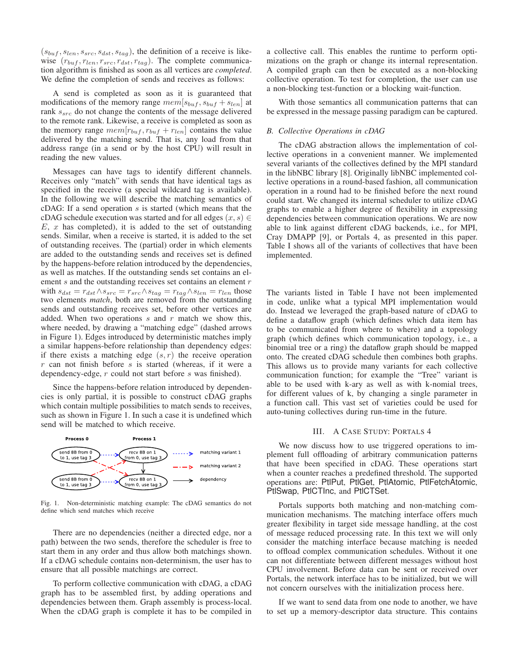$(s_{buf}, s_{len}, s_{src}, s_{dst}, s_{tag})$ , the definition of a receive is likewise  $(r_{buf}, r_{len}, r_{src}, r_{dst}, r_{tag})$ . The complete communication algorithm is finished as soon as all vertices are *completed*. We define the completion of sends and receives as follows:

A send is completed as soon as it is guaranteed that modifications of the memory range  $mem[s_{buf}, s_{buf} + s_{len}]$  at rank  $s_{src}$  do not change the contents of the message delivered to the remote rank. Likewise, a receive is completed as soon as the memory range  $mem[r_{buf}, r_{buf} + r_{len}]$  contains the value delivered by the matching send. That is, any load from that address range (in a send or by the host CPU) will result in reading the new values.

Messages can have tags to identify different channels. Receives only "match" with sends that have identical tags as specified in the receive (a special wildcard tag is available). In the following we will describe the matching semantics of cDAG: If a send operation  $s$  is started (which means that the cDAG schedule execution was started and for all edges  $(x, s) \in$  $E, x$  has completed), it is added to the set of outstanding sends. Similar, when a receive is started, it is added to the set of outstanding receives. The (partial) order in which elements are added to the outstanding sends and receives set is defined by the happens-before relation introduced by the dependencies, as well as matches. If the outstanding sends set contains an element  $s$  and the outstanding receives set contains an element  $r$ with  $s_{dst} = r_{dst} \wedge s_{src} = r_{src} \wedge s_{tag} = r_{tag} \wedge s_{len} = r_{len}$  those two elements *match*, both are removed from the outstanding sends and outstanding receives set, before other vertices are added. When two operations  $s$  and  $r$  match we show this, where needed, by drawing a "matching edge" (dashed arrows in Figure 1). Edges introduced by deterministic matches imply a similar happens-before relationship than dependency edges: if there exists a matching edge  $(s, r)$  the receive operation  $r$  can not finish before  $s$  is started (whereas, if it were a dependency-edge, r could not start before s was finished).

Since the happens-before relation introduced by dependencies is only partial, it is possible to construct cDAG graphs which contain multiple possibilities to match sends to receives, such as shown in Figure 1. In such a case it is undefined which send will be matched to which receive.



Fig. 1. Non-deterministic matching example: The cDAG semantics do not define which send matches which receive

There are no dependencies (neither a directed edge, nor a path) between the two sends, therefore the scheduler is free to start them in any order and thus allow both matchings shown. If a cDAG schedule contains non-determinism, the user has to ensure that all possible matchings are correct.

To perform collective communication with cDAG, a cDAG graph has to be assembled first, by adding operations and dependencies between them. Graph assembly is process-local. When the cDAG graph is complete it has to be compiled in a collective call. This enables the runtime to perform optimizations on the graph or change its internal representation. A compiled graph can then be executed as a non-blocking collective operation. To test for completion, the user can use a non-blocking test-function or a blocking wait-function.

With those semantics all communication patterns that can be expressed in the message passing paradigm can be captured.

#### *B. Collective Operations in cDAG*

The cDAG abstraction allows the implementation of collective operations in a convenient manner. We implemented several variants of the collectives defined by the MPI standard in the libNBC library [8]. Originally libNBC implemented collective operations in a round-based fashion, all communication operation in a round had to be finished before the next round could start. We changed its internal scheduler to utilize cDAG graphs to enable a higher degree of flexibility in expressing dependencies between communication operations. We are now able to link against different cDAG backends, i.e., for MPI, Cray DMAPP [9], or Portals 4, as presented in this paper. Table I shows all of the variants of collectives that have been implemented.

The variants listed in Table I have not been implemented in code, unlike what a typical MPI implementation would do. Instead we leveraged the graph-based nature of cDAG to define a dataflow graph (which defines which data item has to be communicated from where to where) and a topology graph (which defines which communication topology, i.e., a binomial tree or a ring) the dataflow graph should be mapped onto. The created cDAG schedule then combines both graphs. This allows us to provide many variants for each collective communication function; for example the "Tree" variant is able to be used with k-ary as well as with k-nomial trees, for different values of k, by changing a single parameter in a function call. This vast set of varieties could be used for auto-tuning collectives during run-time in the future.

### III. A CASE STUDY: PORTALS 4

We now discuss how to use triggered operations to implement full offloading of arbitrary communication patterns that have been specified in cDAG. These operations start when a counter reaches a predefined threshold. The supported operations are: PtlPut, PtlGet, PtlAtomic, PtlFetchAtomic, PtlSwap, PtlCTInc, and PtlCTSet.

Portals supports both matching and non-matching communication mechanisms. The matching interface offers much greater flexibility in target side message handling, at the cost of message reduced processing rate. In this text we will only consider the matching interface because matching is needed to offload complex communication schedules. Without it one can not differentiate between different messages without host CPU involvement. Before data can be sent or received over Portals, the network interface has to be initialized, but we will not concern ourselves with the initialization process here.

If we want to send data from one node to another, we have to set up a memory-descriptor data structure. This contains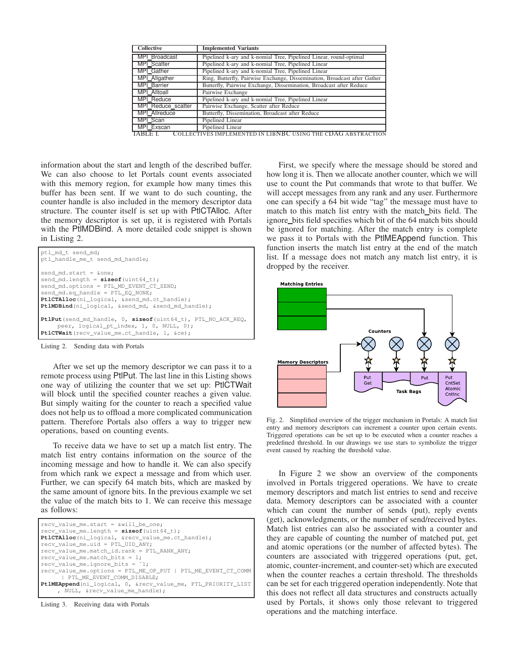| <b>Collective</b>            | <b>Implemented Variants</b>                                                                                                                                          |
|------------------------------|----------------------------------------------------------------------------------------------------------------------------------------------------------------------|
| MPI Broadcast                | Pipelined k-ary and k-nomial Tree, Pipelined Linear, round-optimal                                                                                                   |
| <b>MPI</b> Scatter           | Pipelined k-ary and k-nomial Tree, Pipelined Linear                                                                                                                  |
| MPI Gather                   | Pipelined k-ary and k-nomial Tree, Pipelined Linear                                                                                                                  |
| MPI Allgather                | Ring, Butterfly, Pairwise Exchange, Dissemination, Broadcast after Gather                                                                                            |
| <b>MPI Barrier</b>           | Butterfly, Pairwise Exchange, Dissemination, Broadcast after Reduce                                                                                                  |
| MPI Alltoall                 | Pairwise Exchange                                                                                                                                                    |
| <b>MPI Reduce</b>            | Pipelined k-ary and k-nomial Tree, Pipelined Linear                                                                                                                  |
| MPI Reduce_scatter           | Pairwise Exchange, Scatter after Reduce                                                                                                                              |
| <b>MPI</b> Allreduce         | Butterfly, Dissemination, Broadcast after Reduce                                                                                                                     |
| MPI Scan                     | Pipelined Linear                                                                                                                                                     |
| MPI Exscan<br>$\overline{1}$ | Pipelined Linear<br>$0 \times 10^{-1}$ m $0 \times 10^{-1}$ m $0 \times 10^{-1}$ m $0 \times 10^{-1}$ m $0 \times 10^{-1}$ m $0 \times 10^{-1}$ m $0 \times 10^{-1}$ |

TABLE I. COLLECTIVES IMPLEMENTED IN LIBNBC US ING THE CDAG ABSTRACTION

information about the start and length of the described buffer. We can also choose to let Portals count events associated with this memory region, for example how many times this buffer has been sent. If we want to do such counting, the counter handle is also included in the memory descriptor data structure. The counter itself is set up with PtlCTAlloc. After the memory descriptor is set up, it is registered with Portals with the PtlMDBind. A more detailed code snippet is shown in Listing 2.



Listing 2. Sending data with Portals

After we set up the memory descriptor we can pass it to a remote process using PtlPut. The last line in this Listing shows one way of utilizing the counter that we set up: PtlCTWait will block until the specified counter reaches a given value. But simply waiting for the counter to reach a specified value does not help us to offload a more complicated communication pattern. Therefore Portals also offers a way to trigger new operations, based on counting events.

To receive data we have to set up a match list entry. The match list entry contains information on the source of the incoming message and how to handle it. We can also specify from which rank we expect a message and from which user. Further, we can specify 64 match bits, which are masked by the same amount of ignore bits. In the previous example we set the value of the match bits to 1. We can receive this message as follows:

| recv value me.start = $\omega$ ill be one;                   |  |
|--------------------------------------------------------------|--|
| $recv_value_me.length = sizeof(iuint64_t);$                  |  |
| PtlCTAlloc(ni_logical, &recv_value_me.ct_handle);            |  |
| recv value me.uid = PTL UID ANY;                             |  |
| recv_value_me.match_id.rank = PTL_RANK_ANY;                  |  |
| recv value me. match bits = $1$ ;                            |  |
| $recv_value_me.jpg \text{ is } = "1;$                        |  |
| recv_value_me.options = PTL_ME_OP_PUT   PTL_ME_EVENT_CT_COMM |  |
| PTL ME EVENT COMM DISABLE;                                   |  |
| PtlMEAppend(ni_logical, 0, &recv_value_me, PTL_PRIORITY_LIST |  |
| , NULL, & recv_value_me_handle);                             |  |

Listing 3. Receiving data with Portals

First, we specify where the message should be stored and how long it is. Then we allocate another counter, which we will use to count the Put commands that wrote to that buffer. We will accept messages from any rank and any user. Furthermore one can specify a 64 bit wide "tag" the message must have to match to this match list entry with the match bits field. The ignore bits field specifies which bit of the 64 match bits should be ignored for matching. After the match entry is complete we pass it to Portals with the PtlMEAppend function. This function inserts the match list entry at the end of the match list. If a message does not match any match list entry, it is dropped by the receiver.



Fig. 2. Simplified overview of the trigger mechanism in Portals: A match list entry and memory descriptors can increment a counter upon certain events. Triggered operations can be set up to be executed when a counter reaches a predefined threshold. In our drawings we use stars to symbolize the trigger event caused by reaching the threshold value.

In Figure 2 we show an overview of the components involved in Portals triggered operations. We have to create memory descriptors and match list entries to send and receive data. Memory descriptors can be associated with a counter which can count the number of sends (put), reply events (get), acknowledgments, or the number of send/received bytes. Match list entries can also be associated with a counter and they are capable of counting the number of matched put, get and atomic operations (or the number of affected bytes). The counters are associated with triggered operations (put, get, atomic, counter-increment, and counter-set) which are executed when the counter reaches a certain threshold. The thresholds can be set for each triggered operation independently. Note that this does not reflect all data structures and constructs actually used by Portals, it shows only those relevant to triggered operations and the matching interface.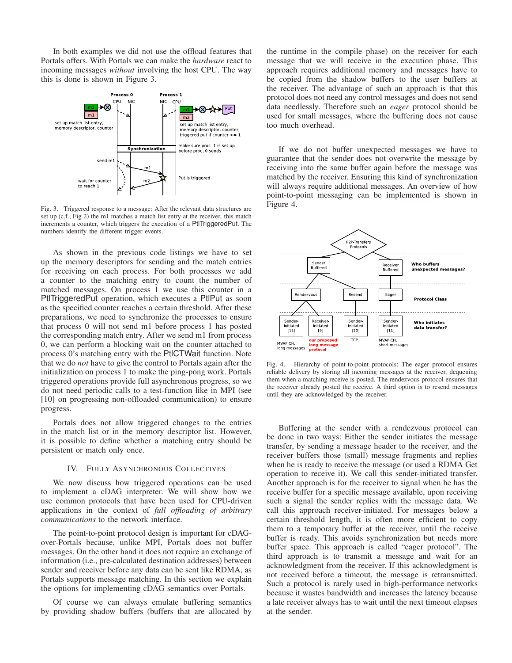In both examples we did not use the offload features that Portals offers. With Portals we can make the *hardware* react to incoming messages *without* involving the host CPU. The way this is done is shown in Figure 3.



Fig. 3. Triggered response to a message: After the relevant data structures are set up (c.f., Fig 2) the m1 matches a match list entry at the receiver, this match increments a counter, which triggers the execution of a PtlTriggeredPut. The numbers identify the different trigger events.

As shown in the previous code listings we have to set up the memory descriptors for sending and the match entries for receiving on each process. For both processes we add a counter to the matching entry to count the number of matched messages. On process 1 we use this counter in a PtlTriggeredPut operation, which executes a PtlPut as soon as the specified counter reaches a certain threshold. After these preparations, we need to synchronize the processes to ensure that process 0 will not send m1 before process 1 has posted the corresponding match entry. After we send m1 from process 0, we can perform a blocking wait on the counter attached to process 0's matching entry with the PtlCTWait function. Note that we do *not* have to give the control to Portals again after the initialization on process 1 to make the ping-pong work. Portals triggered operations provide full asynchronous progress, so we do not need periodic calls to a test-function like in MPI (see [10] on progressing non-offloaded communication) to ensure progress.

Portals does not allow triggered changes to the entries in the match list or in the memory descriptor list. However, it is possible to define whether a matching entry should be persistent or match only once.

# IV. FULLY ASYNCHRONOUS COLLECTIVES

We now discuss how triggered operations can be used to implement a cDAG interpreter. We will show how we use common protocols that have been used for CPU-driven applications in the context of *full offloading of arbitrary communications* to the network interface.

The point-to-point protocol design is important for cDAGover-Portals because, unlike MPI, Portals does not buffer messages. On the other hand it does not require an exchange of information (i.e., pre-calculated destination addresses) between sender and receiver before any data can be sent like RDMA, as Portals supports message matching. In this section we explain the options for implementing cDAG semantics over Portals.

Of course we can always emulate buffering semantics by providing shadow buffers (buffers that are allocated by the runtime in the compile phase) on the receiver for each message that we will receive in the execution phase. This approach requires additional memory and messages have to be copied from the shadow buffers to the user buffers at the receiver. The advantage of such an approach is that this protocol does not need any control messages and does not send data needlessly. Therefore such an *eager* protocol should be used for small messages, where the buffering does not cause too much overhead.

If we do not buffer unexpected messages we have to guarantee that the sender does not overwrite the message by receiving into the same buffer again before the message was matched by the receiver. Ensuring this kind of synchronization will always require additional messages. An overview of how point-to-point messaging can be implemented is shown in Figure 4.



Fig. 4. Hierarchy of point-to-point protocols: The eager protocol ensures reliable delivery by storing all incoming messages at the receiver, dequeuing them when a matching receive is posted. The rendezvous protocol ensures that the receiver already posted the receive. A third option is to resend messages until they are acknowledged by the receiver.

Buffering at the sender with a rendezvous protocol can be done in two ways: Either the sender initiates the message transfer, by sending a message header to the receiver, and the receiver buffers those (small) message fragments and replies when he is ready to receive the message (or used a RDMA Get operation to receive it). We call this sender-initiated transfer. Another approach is for the receiver to signal when he has the receive buffer for a specific message available, upon receiving such a signal the sender replies with the message data. We call this approach receiver-initiated. For messages below a certain threshold length, it is often more efficient to copy them to a temporary buffer at the receiver, until the receive buffer is ready. This avoids synchronization but needs more buffer space. This approach is called "eager protocol". The third approach is to transmit a message and wait for an acknowledgment from the receiver. If this acknowledgment is not received before a timeout, the message is retransmitted. Such a protocol is rarely used in high-performance networks because it wastes bandwidth and increases the latency because a late receiver always has to wait until the next timeout elapses at the sender.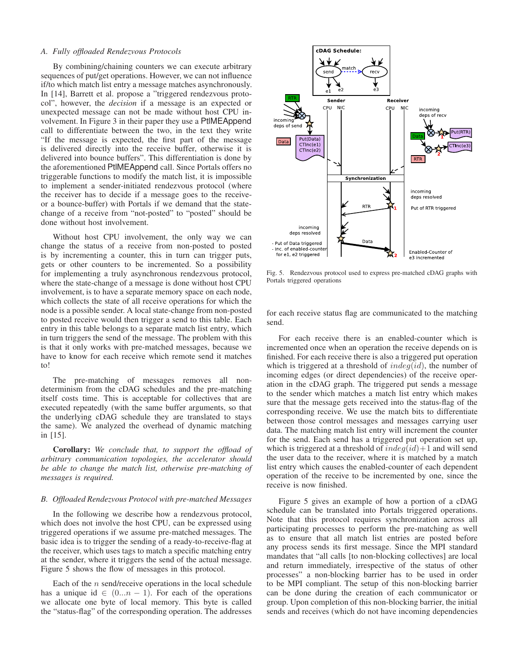#### *A. Fully offloaded Rendezvous Protocols*

By combining/chaining counters we can execute arbitrary sequences of put/get operations. However, we can not influence if/to which match list entry a message matches asynchronously. In [14], Barrett et al. propose a "triggered rendezvous protocol", however, the *decision* if a message is an expected or unexpected message can not be made without host CPU involvement. In Figure 3 in their paper they use a PtlMEAppend call to differentiate between the two, in the text they write "If the message is expected, the first part of the message is delivered directly into the receive buffer, otherwise it is delivered into bounce buffers". This differentiation is done by the aforementioned PtlMEAppend call. Since Portals offers no triggerable functions to modify the match list, it is impossible to implement a sender-initiated rendezvous protocol (where the receiver has to decide if a message goes to the receiveor a bounce-buffer) with Portals if we demand that the statechange of a receive from "not-posted" to "posted" should be done without host involvement.

Without host CPU involvement, the only way we can change the status of a receive from non-posted to posted is by incrementing a counter, this in turn can trigger puts, gets or other counters to be incremented. So a possibility for implementing a truly asynchronous rendezvous protocol, where the state-change of a message is done without host CPU involvement, is to have a separate memory space on each node, which collects the state of all receive operations for which the node is a possible sender. A local state-change from non-posted to posted receive would then trigger a send to this table. Each entry in this table belongs to a separate match list entry, which in turn triggers the send of the message. The problem with this is that it only works with pre-matched messages, because we have to know for each receive which remote send it matches to!

The pre-matching of messages removes all nondeterminism from the cDAG schedules and the pre-matching itself costs time. This is acceptable for collectives that are executed repeatedly (with the same buffer arguments, so that the underlying cDAG schedule they are translated to stays the same). We analyzed the overhead of dynamic matching in [15].

Corollary: *We conclude that, to support the offload of arbitrary communication topologies, the accelerator should be able to change the match list, otherwise pre-matching of messages is required.*

#### *B. Offloaded Rendezvous Protocol with pre-matched Messages*

In the following we describe how a rendezvous protocol, which does not involve the host CPU, can be expressed using triggered operations if we assume pre-matched messages. The basic idea is to trigger the sending of a ready-to-receive-flag at the receiver, which uses tags to match a specific matching entry at the sender, where it triggers the send of the actual message. Figure 5 shows the flow of messages in this protocol.

Each of the  $n$  send/receive operations in the local schedule has a unique id  $\in (0...n-1)$ . For each of the operations we allocate one byte of local memory. This byte is called the "status-flag" of the corresponding operation. The addresses



Fig. 5. Rendezvous protocol used to express pre-matched cDAG graphs with Portals triggered operations

for each receive status flag are communicated to the matching send.

For each receive there is an enabled-counter which is incremented once when an operation the receive depends on is finished. For each receive there is also a triggered put operation which is triggered at a threshold of  $indeg(id)$ , the number of incoming edges (or direct dependencies) of the receive operation in the cDAG graph. The triggered put sends a message to the sender which matches a match list entry which makes sure that the message gets received into the status-flag of the corresponding receive. We use the match bits to differentiate between those control messages and messages carrying user data. The matching match list entry will increment the counter for the send. Each send has a triggered put operation set up, which is triggered at a threshold of  $indeg(id)+1$  and will send the user data to the receiver, where it is matched by a match list entry which causes the enabled-counter of each dependent operation of the receive to be incremented by one, since the receive is now finished.

Figure 5 gives an example of how a portion of a cDAG schedule can be translated into Portals triggered operations. Note that this protocol requires synchronization across all participating processes to perform the pre-matching as well as to ensure that all match list entries are posted before any process sends its first message. Since the MPI standard mandates that "all calls [to non-blocking collectives] are local and return immediately, irrespective of the status of other processes" a non-blocking barrier has to be used in order to be MPI compliant. The setup of this non-blocking barrier can be done during the creation of each communicator or group. Upon completion of this non-blocking barrier, the initial sends and receives (which do not have incoming dependencies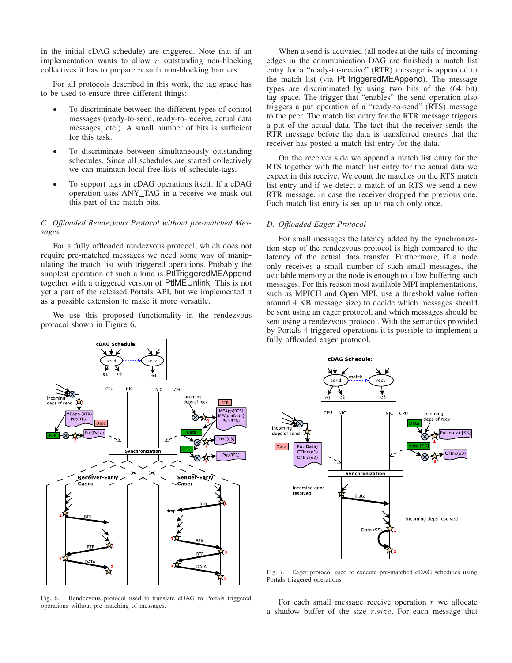in the initial cDAG schedule) are triggered. Note that if an implementation wants to allow  $n$  outstanding non-blocking collectives it has to prepare  $n$  such non-blocking barriers.

For all protocols described in this work, the tag space has to be used to ensure three different things:

- To discriminate between the different types of control messages (ready-to-send, ready-to-receive, actual data messages, etc.). A small number of bits is sufficient for this task.
- To discriminate between simultaneously outstanding schedules. Since all schedules are started collectively we can maintain local free-lists of schedule-tags.
- To support tags in cDAG operations itself. If a cDAG operation uses ANY TAG in a receive we mask out this part of the match bits.

# *C. Offloaded Rendezvous Protocol without pre-matched Messages*

For a fully offloaded rendezvous protocol, which does not require pre-matched messages we need some way of manipulating the match list with triggered operations. Probably the simplest operation of such a kind is PtlTriggeredMEAppend together with a triggered version of PtlMEUnlink. This is not yet a part of the released Portals API, but we implemented it as a possible extension to make it more versatile.

We use this proposed functionality in the rendezvous protocol shown in Figure 6.

When a send is activated (all nodes at the tails of incoming edges in the communication DAG are finished) a match list entry for a "ready-to-receive" (RTR) message is appended to the match list (via PtlTriggeredMEAppend). The message types are discriminated by using two bits of the (64 bit) tag space. The trigger that "enables" the send operation also triggers a put operation of a "ready-to-send" (RTS) message to the peer. The match list entry for the RTR message triggers a put of the actual data. The fact that the receiver sends the RTR message before the data is transferred ensures that the receiver has posted a match list entry for the data.

On the receiver side we append a match list entry for the RTS together with the match list entry for the actual data we expect in this receive. We count the matches on the RTS match list entry and if we detect a match of an RTS we send a new RTR message, in case the receiver dropped the previous one. Each match list entry is set up to match only once.

# *D. Offloaded Eager Protocol*

For small messages the latency added by the synchronization step of the rendezvous protocol is high compared to the latency of the actual data transfer. Furthermore, if a node only receives a small number of such small messages, the available memory at the node is enough to allow buffering such messages. For this reason most available MPI implementations, such as MPICH and Open MPI, use a threshold value (often around 4 KB message size) to decide which messages should be sent using an eager protocol, and which messages should be sent using a rendezvous protocol. With the semantics provided by Portals 4 triggered operations it is possible to implement a fully offloaded eager protocol.



Fig. 6. Rendezvous protocol used to translate cDAG to Portals triggered operations without pre-matching of messages.



Fig. 7. Eager protocol used to execute pre-matched cDAG schedules using Portals triggered operations

For each small message receive operation  $r$  we allocate a shadow buffer of the size r.size. For each message that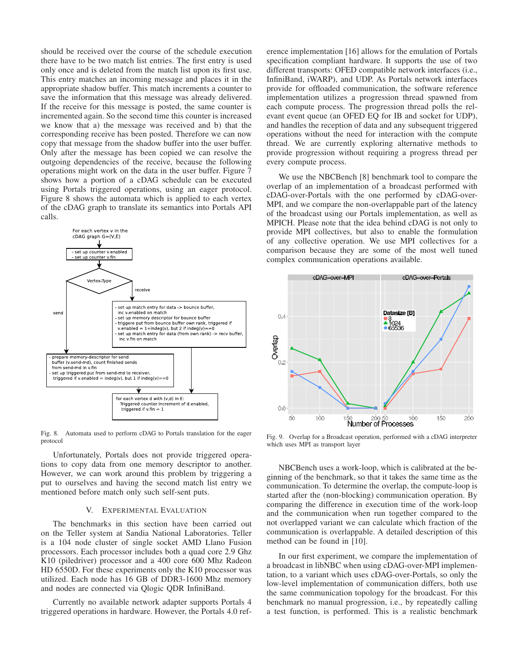should be received over the course of the schedule execution there have to be two match list entries. The first entry is used only once and is deleted from the match list upon its first use. This entry matches an incoming message and places it in the appropriate shadow buffer. This match increments a counter to save the information that this message was already delivered. If the receive for this message is posted, the same counter is incremented again. So the second time this counter is increased we know that a) the message was received and b) that the corresponding receive has been posted. Therefore we can now copy that message from the shadow buffer into the user buffer. Only after the message has been copied we can resolve the outgoing dependencies of the receive, because the following operations might work on the data in the user buffer. Figure 7 shows how a portion of a cDAG schedule can be executed using Portals triggered operations, using an eager protocol. Figure 8 shows the automata which is applied to each vertex of the cDAG graph to translate its semantics into Portals API calls.



Fig. 8. Automata used to perform cDAG to Portals translation for the eager protocol

Unfortunately, Portals does not provide triggered operations to copy data from one memory descriptor to another. However, we can work around this problem by triggering a put to ourselves and having the second match list entry we mentioned before match only such self-sent puts.

#### V. EXPERIMENTAL EVALUATION

The benchmarks in this section have been carried out on the Teller system at Sandia National Laboratories. Teller is a 104 node cluster of single socket AMD Llano Fusion processors. Each processor includes both a quad core 2.9 Ghz K10 (piledriver) processor and a 400 core 600 Mhz Radeon HD 6550D. For these experiments only the K10 processor was utilized. Each node has 16 GB of DDR3-1600 Mhz memory and nodes are connected via Qlogic QDR InfiniBand.

Currently no available network adapter supports Portals 4 triggered operations in hardware. However, the Portals 4.0 reference implementation [16] allows for the emulation of Portals specification compliant hardware. It supports the use of two different transports: OFED compatible network interfaces (i.e., InfiniBand, iWARP), and UDP. As Portals network interfaces provide for offloaded communication, the software reference implementation utilizes a progression thread spawned from each compute process. The progression thread polls the relevant event queue (an OFED EQ for IB and socket for UDP), and handles the reception of data and any subsequent triggered operations without the need for interaction with the compute thread. We are currently exploring alternative methods to provide progression without requiring a progress thread per every compute process.

We use the NBCBench [8] benchmark tool to compare the overlap of an implementation of a broadcast performed with cDAG-over-Portals with the one performed by cDAG-over-MPI, and we compare the non-overlappable part of the latency of the broadcast using our Portals implementation, as well as MPICH. Please note that the idea behind cDAG is not only to provide MPI collectives, but also to enable the formulation of any collective operation. We use MPI collectives for a comparison because they are some of the most well tuned complex communication operations available.



Fig. 9. Overlap for a Broadcast operation, performed with a cDAG interpreter which uses MPI as transport layer

NBCBench uses a work-loop, which is calibrated at the beginning of the benchmark, so that it takes the same time as the communication. To determine the overlap, the compute-loop is started after the (non-blocking) communication operation. By comparing the difference in execution time of the work-loop and the communication when run together compared to the not overlapped variant we can calculate which fraction of the communication is overlappable. A detailed description of this method can be found in [10].

In our first experiment, we compare the implementation of a broadcast in libNBC when using cDAG-over-MPI implementation, to a variant which uses cDAG-over-Portals, so only the low-level implementation of communication differs, both use the same communication topology for the broadcast. For this benchmark no manual progression, i.e., by repeatedly calling a test function, is performed. This is a realistic benchmark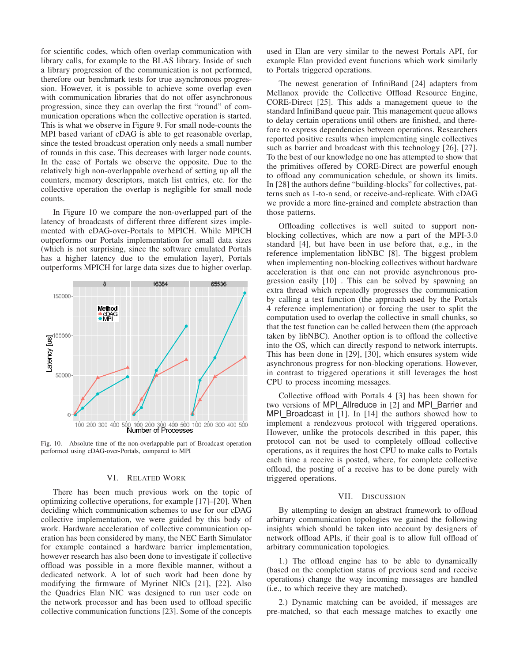for scientific codes, which often overlap communication with library calls, for example to the BLAS library. Inside of such a library progression of the communication is not performed, therefore our benchmark tests for true asynchronous progression. However, it is possible to achieve some overlap even with communication libraries that do not offer asynchronous progression, since they can overlap the first "round" of communication operations when the collective operation is started. This is what we observe in Figure 9. For small node-counts the MPI based variant of cDAG is able to get reasonable overlap, since the tested broadcast operation only needs a small number of rounds in this case. This decreases with larger node counts. In the case of Portals we observe the opposite. Due to the relatively high non-overlappable overhead of setting up all the counters, memory descriptors, match list entries, etc. for the collective operation the overlap is negligible for small node counts.

In Figure 10 we compare the non-overlapped part of the latency of broadcasts of different three different sizes implemented with cDAG-over-Portals to MPICH. While MPICH outperforms our Portals implementation for small data sizes (which is not surprising, since the software emulated Portals has a higher latency due to the emulation layer), Portals outperforms MPICH for large data sizes due to higher overlap.



Fig. 10. Absolute time of the non-overlappable part of Broadcast operation performed using cDAG-over-Portals, compared to MPI

# VI. RELATED WORK

There has been much previous work on the topic of optimizing collective operations, for example [17]–[20]. When deciding which communication schemes to use for our cDAG collective implementation, we were guided by this body of work. Hardware acceleration of collective communication operation has been considered by many, the NEC Earth Simulator for example contained a hardware barrier implementation, however research has also been done to investigate if collective offload was possible in a more flexible manner, without a dedicated network. A lot of such work had been done by modifying the firmware of Myrinet NICs [21], [22]. Also the Quadrics Elan NIC was designed to run user code on the network processor and has been used to offload specific collective communication functions [23]. Some of the concepts

used in Elan are very similar to the newest Portals API, for example Elan provided event functions which work similarly to Portals triggered operations.

The newest generation of InfiniBand [24] adapters from Mellanox provide the Collective Offload Resource Engine, CORE-Direct [25]. This adds a management queue to the standard InfiniBand queue pair. This management queue allows to delay certain operations until others are finished, and therefore to express dependencies between operations. Researchers reported positive results when implementing single collectives such as barrier and broadcast with this technology [26], [27]. To the best of our knowledge no one has attempted to show that the primitives offered by CORE-Direct are powerful enough to offload any communication schedule, or shown its limits. In [28] the authors define "building-blocks" for collectives, patterns such as 1-to-n send, or receive-and-replicate. With cDAG we provide a more fine-grained and complete abstraction than those patterns.

Offloading collectives is well suited to support nonblocking collectives, which are now a part of the MPI-3.0 standard [4], but have been in use before that, e.g., in the reference implementation libNBC [8]. The biggest problem when implementing non-blocking collectives without hardware acceleration is that one can not provide asynchronous progression easily [10] . This can be solved by spawning an extra thread which repeatedly progresses the communication by calling a test function (the approach used by the Portals 4 reference implementation) or forcing the user to split the computation used to overlap the collective in small chunks, so that the test function can be called between them (the approach taken by libNBC). Another option is to offload the collective into the OS, which can directly respond to network interrupts. This has been done in [29], [30], which ensures system wide asynchronous progress for non-blocking operations. However, in contrast to triggered operations it still leverages the host CPU to process incoming messages.

Collective offload with Portals 4 [3] has been shown for two versions of MPI\_Allreduce in [2] and MPI\_Barrier and MPI\_Broadcast in [1]. In [14] the authors showed how to implement a rendezvous protocol with triggered operations. However, unlike the protocols described in this paper, this protocol can not be used to completely offload collective operations, as it requires the host CPU to make calls to Portals each time a receive is posted, where, for complete collective offload, the posting of a receive has to be done purely with triggered operations.

#### VII. DISCUSSION

By attempting to design an abstract framework to offload arbitrary communication topologies we gained the following insights which should be taken into account by designers of network offload APIs, if their goal is to allow full offload of arbitrary communication topologies.

1.) The offload engine has to be able to dynamically (based on the completion status of previous send and receive operations) change the way incoming messages are handled (i.e., to which receive they are matched).

2.) Dynamic matching can be avoided, if messages are pre-matched, so that each message matches to exactly one